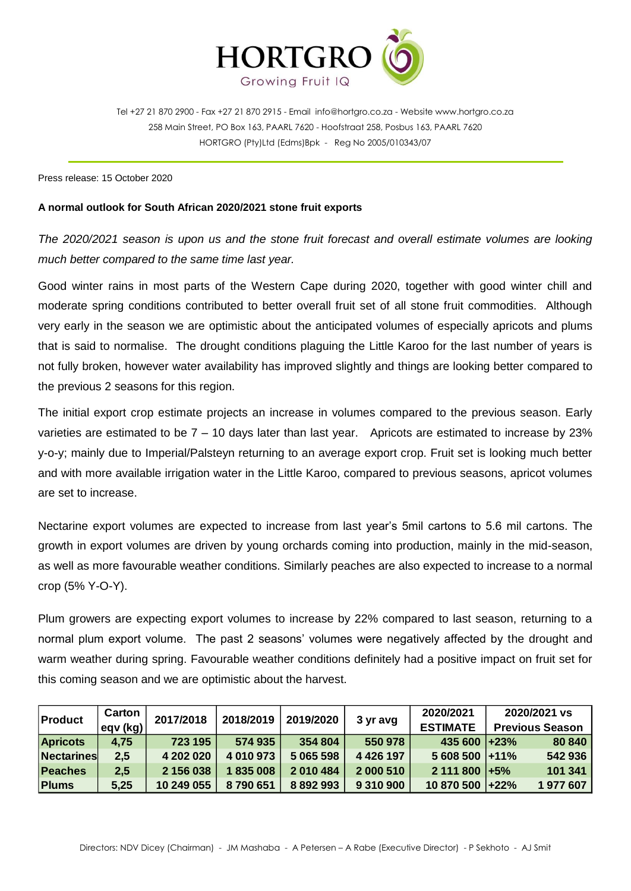

Tel +27 21 870 2900 - Fax +27 21 870 2915 - Email [info@hortgro.co.za](mailto:info@hortgro.co.za) - Website www.hortgro.co.za 258 Main Street, PO Box 163, PAARL 7620 - Hoofstraat 258, Posbus 163, PAARL 7620 HORTGRO (Pty)Ltd (Edms)Bpk - Reg No 2005/010343/07

Press release: 15 October 2020

## **A normal outlook for South African 2020/2021 stone fruit exports**

*The 2020/2021 season is upon us and the stone fruit forecast and overall estimate volumes are looking much better compared to the same time last year.*

Good winter rains in most parts of the Western Cape during 2020, together with good winter chill and moderate spring conditions contributed to better overall fruit set of all stone fruit commodities. Although very early in the season we are optimistic about the anticipated volumes of especially apricots and plums that is said to normalise. The drought conditions plaguing the Little Karoo for the last number of years is not fully broken, however water availability has improved slightly and things are looking better compared to the previous 2 seasons for this region.

The initial export crop estimate projects an increase in volumes compared to the previous season. Early varieties are estimated to be 7 – 10 days later than last year. Apricots are estimated to increase by 23% y-o-y; mainly due to Imperial/Palsteyn returning to an average export crop. Fruit set is looking much better and with more available irrigation water in the Little Karoo, compared to previous seasons, apricot volumes are set to increase.

Nectarine export volumes are expected to increase from last year's 5mil cartons to 5.6 mil cartons. The growth in export volumes are driven by young orchards coming into production, mainly in the mid-season, as well as more favourable weather conditions. Similarly peaches are also expected to increase to a normal crop (5% Y-O-Y).

Plum growers are expecting export volumes to increase by 22% compared to last season, returning to a normal plum export volume. The past 2 seasons' volumes were negatively affected by the drought and warm weather during spring. Favourable weather conditions definitely had a positive impact on fruit set for this coming season and we are optimistic about the harvest.

| Product         | Carton   | 2017/2018  | 2018/2019 | 2019/2020 | 3 yr avg      | 2020/2021       | 2020/2021 vs           |           |
|-----------------|----------|------------|-----------|-----------|---------------|-----------------|------------------------|-----------|
|                 | eqv (kg) |            |           |           |               | <b>ESTIMATE</b> | <b>Previous Season</b> |           |
| <b>Apricots</b> | 4,75     | 723 195    | 574 935   | 354 804   | 550 978       | 435 600 +23%    |                        | 80 840    |
| Nectarines      | 2,5      | 4 202 020  | 4 010 973 | 5 065 598 | 4 4 2 6 1 9 7 | $5608500$ +11%  |                        | 542936    |
| <b>Peaches</b>  | 2,5      | 2 156 038  | 1835008   | 2010484   | 2 000 510     | $2111800 + 5%$  |                        | 101 341   |
| Plums           | 5,25     | 10 249 055 | 8790651   | 8892993   | 9 310 900     | 10 870 500 +22% |                        | 1 977 607 |